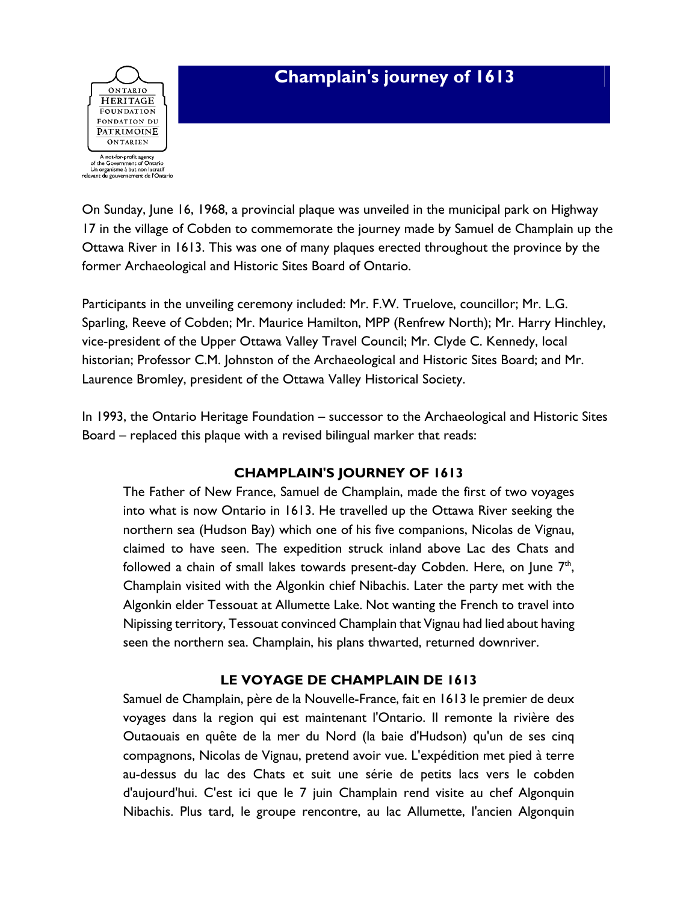

On Sunday, June 16, 1968, a provincial plaque was unveiled in the municipal park on Highway 17 in the village of Cobden to commemorate the journey made by Samuel de Champlain up the Ottawa River in 1613. This was one of many plaques erected throughout the province by the former Archaeological and Historic Sites Board of Ontario.

Participants in the unveiling ceremony included: Mr. F.W. Truelove, councillor; Mr. L.G. Sparling, Reeve of Cobden; Mr. Maurice Hamilton, MPP (Renfrew North); Mr. Harry Hinchley, vice-president of the Upper Ottawa Valley Travel Council; Mr. Clyde C. Kennedy, local historian; Professor C.M. Johnston of the Archaeological and Historic Sites Board; and Mr. Laurence Bromley, president of the Ottawa Valley Historical Society.

In 1993, the Ontario Heritage Foundation – successor to the Archaeological and Historic Sites Board – replaced this plaque with a revised bilingual marker that reads:

## **CHAMPLAIN'S JOURNEY OF 1613**

The Father of New France, Samuel de Champlain, made the first of two voyages into what is now Ontario in 1613. He travelled up the Ottawa River seeking the northern sea (Hudson Bay) which one of his five companions, Nicolas de Vignau, claimed to have seen. The expedition struck inland above Lac des Chats and followed a chain of small lakes towards present-day Cobden. Here, on June  $7<sup>th</sup>$ , Champlain visited with the Algonkin chief Nibachis. Later the party met with the Algonkin elder Tessouat at Allumette Lake. Not wanting the French to travel into Nipissing territory, Tessouat convinced Champlain that Vignau had lied about having seen the northern sea. Champlain, his plans thwarted, returned downriver.

## **LE VOYAGE DE CHAMPLAIN DE 1613**

Samuel de Champlain, père de la Nouvelle-France, fait en 1613 le premier de deux voyages dans la region qui est maintenant l'Ontario. Il remonte la rivière des Outaouais en quête de la mer du Nord (la baie d'Hudson) qu'un de ses cinq compagnons, Nicolas de Vignau, pretend avoir vue. L'expédition met pied à terre au-dessus du lac des Chats et suit une série de petits lacs vers le cobden d'aujourd'hui. C'est ici que le 7 juin Champlain rend visite au chef Algonquin Nibachis. Plus tard, le groupe rencontre, au lac Allumette, l'ancien Algonquin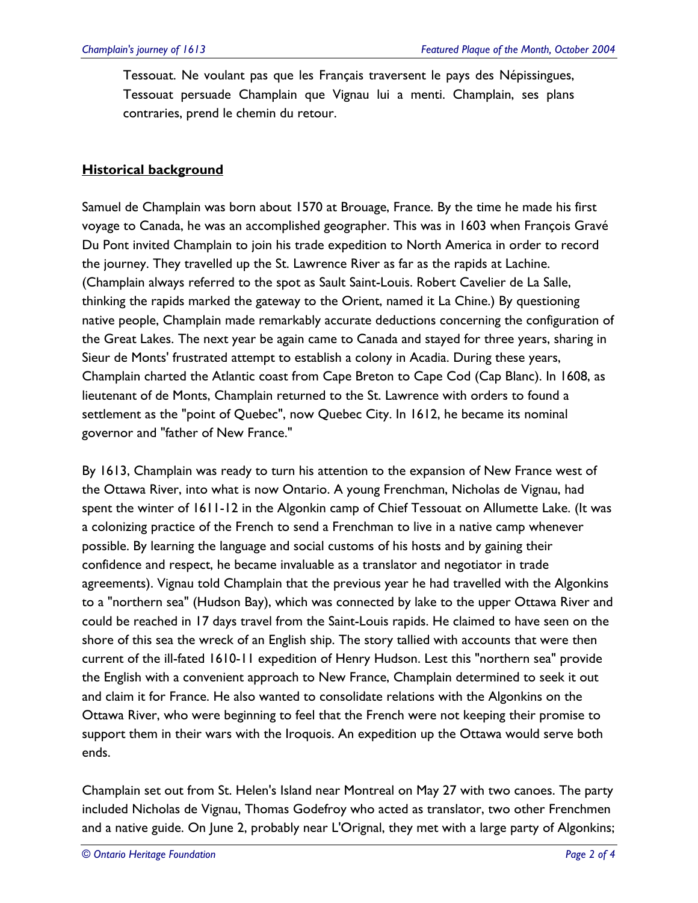Tessouat. Ne voulant pas que les Français traversent le pays des Népissingues, Tessouat persuade Champlain que Vignau lui a menti. Champlain, ses plans contraries, prend le chemin du retour.

## **Historical background**

Samuel de Champlain was born about 1570 at Brouage, France. By the time he made his first voyage to Canada, he was an accomplished geographer. This was in 1603 when François Gravé Du Pont invited Champlain to join his trade expedition to North America in order to record the journey. They travelled up the St. Lawrence River as far as the rapids at Lachine. (Champlain always referred to the spot as Sault Saint-Louis. Robert Cavelier de La Salle, thinking the rapids marked the gateway to the Orient, named it La Chine.) By questioning native people, Champlain made remarkably accurate deductions concerning the configuration of the Great Lakes. The next year be again came to Canada and stayed for three years, sharing in Sieur de Monts' frustrated attempt to establish a colony in Acadia. During these years, Champlain charted the Atlantic coast from Cape Breton to Cape Cod (Cap Blanc). In 1608, as lieutenant of de Monts, Champlain returned to the St. Lawrence with orders to found a settlement as the "point of Quebec", now Quebec City. In 1612, he became its nominal governor and "father of New France."

By 1613, Champlain was ready to turn his attention to the expansion of New France west of the Ottawa River, into what is now Ontario. A young Frenchman, Nicholas de Vignau, had spent the winter of 1611-12 in the Algonkin camp of Chief Tessouat on Allumette Lake. (It was a colonizing practice of the French to send a Frenchman to live in a native camp whenever possible. By learning the language and social customs of his hosts and by gaining their confidence and respect, he became invaluable as a translator and negotiator in trade agreements). Vignau told Champlain that the previous year he had travelled with the Algonkins to a "northern sea" (Hudson Bay), which was connected by lake to the upper Ottawa River and could be reached in 17 days travel from the Saint-Louis rapids. He claimed to have seen on the shore of this sea the wreck of an English ship. The story tallied with accounts that were then current of the ill-fated 1610-11 expedition of Henry Hudson. Lest this "northern sea" provide the English with a convenient approach to New France, Champlain determined to seek it out and claim it for France. He also wanted to consolidate relations with the Algonkins on the Ottawa River, who were beginning to feel that the French were not keeping their promise to support them in their wars with the Iroquois. An expedition up the Ottawa would serve both ends.

Champlain set out from St. Helen's Island near Montreal on May 27 with two canoes. The party included Nicholas de Vignau, Thomas Godefroy who acted as translator, two other Frenchmen and a native guide. On June 2, probably near L'Orignal, they met with a large party of Algonkins;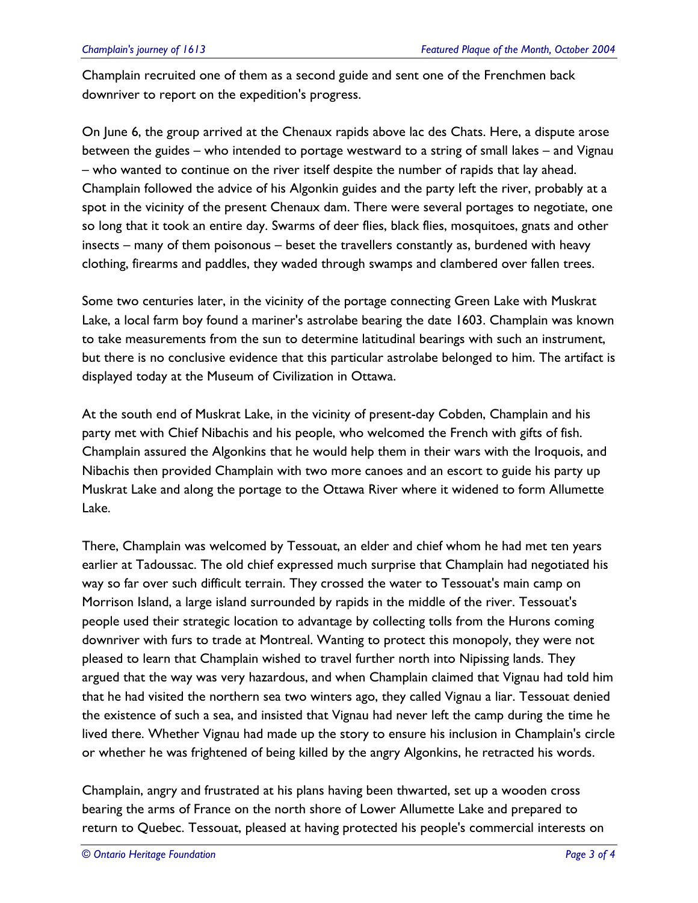Champlain recruited one of them as a second guide and sent one of the Frenchmen back downriver to report on the expedition's progress.

On June 6, the group arrived at the Chenaux rapids above lac des Chats. Here, a dispute arose between the guides – who intended to portage westward to a string of small lakes – and Vignau – who wanted to continue on the river itself despite the number of rapids that lay ahead. Champlain followed the advice of his Algonkin guides and the party left the river, probably at a spot in the vicinity of the present Chenaux dam. There were several portages to negotiate, one so long that it took an entire day. Swarms of deer flies, black flies, mosquitoes, gnats and other insects – many of them poisonous – beset the travellers constantly as, burdened with heavy clothing, firearms and paddles, they waded through swamps and clambered over fallen trees.

Some two centuries later, in the vicinity of the portage connecting Green Lake with Muskrat Lake, a local farm boy found a mariner's astrolabe bearing the date 1603. Champlain was known to take measurements from the sun to determine latitudinal bearings with such an instrument, but there is no conclusive evidence that this particular astrolabe belonged to him. The artifact is displayed today at the Museum of Civilization in Ottawa.

At the south end of Muskrat Lake, in the vicinity of present-day Cobden, Champlain and his party met with Chief Nibachis and his people, who welcomed the French with gifts of fish. Champlain assured the Algonkins that he would help them in their wars with the Iroquois, and Nibachis then provided Champlain with two more canoes and an escort to guide his party up Muskrat Lake and along the portage to the Ottawa River where it widened to form Allumette Lake.

There, Champlain was welcomed by Tessouat, an elder and chief whom he had met ten years earlier at Tadoussac. The old chief expressed much surprise that Champlain had negotiated his way so far over such difficult terrain. They crossed the water to Tessouat's main camp on Morrison Island, a large island surrounded by rapids in the middle of the river. Tessouat's people used their strategic location to advantage by collecting tolls from the Hurons coming downriver with furs to trade at Montreal. Wanting to protect this monopoly, they were not pleased to learn that Champlain wished to travel further north into Nipissing lands. They argued that the way was very hazardous, and when Champlain claimed that Vignau had told him that he had visited the northern sea two winters ago, they called Vignau a liar. Tessouat denied the existence of such a sea, and insisted that Vignau had never left the camp during the time he lived there. Whether Vignau had made up the story to ensure his inclusion in Champlain's circle or whether he was frightened of being killed by the angry Algonkins, he retracted his words.

Champlain, angry and frustrated at his plans having been thwarted, set up a wooden cross bearing the arms of France on the north shore of Lower Allumette Lake and prepared to return to Quebec. Tessouat, pleased at having protected his people's commercial interests on